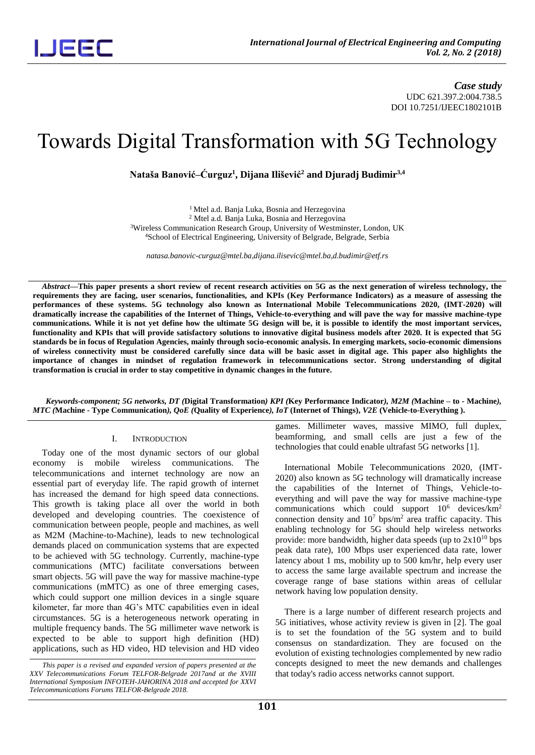*Case study* UDC 621.397.2:004.738.5 DOI 10.7251/IJEEC1802101B

## Towards Digital Transformation with 5G Technology

**Nataša Banović–Ćurguz<sup>1</sup> , Dijana Ilišević<sup>2</sup> and Djuradj Budimir3,4**

<sup>1</sup> Mtel a.d. Banja Luka, Bosnia and Herzegovina Mtel a.d. Banja Luka, Bosnia and Herzegovina Wireless Communication Research Group, University of Westminster, London, UK School of Electrical Engineering, University of Belgrade, Belgrade, Serbia

*natasa.banovic-curguz@mtel.ba,dijana.ilisevic@mtel.ba,d.budimir@etf.rs*

*Abstract***—This paper presents a short review of recent research activities on 5G as the next generation of wireless technology, the requirements they are facing, user scenarios, functionalities, and KPIs (Key Performance Indicators) as a measure of assessing the performances of these systems. 5G technology also known as International Mobile Telecommunications 2020, (IMT-2020) will dramatically increase the capabilities of the Internet of Things, Vehicle-to-everything and will pave the way for massive machine-type communications. While it is not yet define how the ultimate 5G design will be, it is possible to identify the most important services, functionality and KPIs that will provide satisfactory solutions to innovative digital business models after 2020. It is expected that 5G standards be in focus of Regulation Agencies, mainly through socio-economic analysis. In emerging markets, socio-economic dimensions of wireless connectivity must be considered carefully since data will be basic asset in digital age. This paper also highlights the importance of changes in mindset of regulation framework in telecommunications sector. Strong understanding of digital transformation is crucial in order to stay competitive in dynamic changes in the future.**

*Keywords-component; 5G networks, DT (***Digital Transformation***) KPI (***Key Performance Indicator***), M2M (***Machine – to - Machine***), MTC (***Machine - Type Communication***), QoE (***Quality of Experience***), IoT* **(Internet of Things),** *V2E* **(Vehicle-to-Everything ).**

#### I. INTRODUCTION

Today one of the most dynamic sectors of our global economy is mobile wireless communications. The telecommunications and internet technology are now an essential part of everyday life. The rapid growth of internet has increased the demand for high speed data connections. This growth is taking place all over the world in both developed and developing countries. The coexistence of communication between people, people and machines, as well as M2M (Machine-to-Machine), leads to new technological demands placed on communication systems that are expected to be achieved with 5G technology. Currently, machine-type communications (MTC) facilitate conversations between smart objects. 5G will pave the way for massive machine-type communications (mMTC) as one of three emerging cases, which could support one million devices in a single square kilometer, far more than 4G's MTC capabilities even in ideal circumstances. 5G is a heterogeneous network operating in multiple frequency bands. The 5G millimeter wave network is expected to be able to support high definition (HD) applications, such as HD video, HD television and HD video

games. Millimeter waves, massive MIMO, full duplex, beamforming, and small cells are just a few of the technologies that could enable ultrafast 5G networks [1].

International Mobile Telecommunications 2020, (IMT-2020) also known as 5G technology will dramatically increase the capabilities of the Internet of Things, Vehicle-toeverything and will pave the way for massive machine-type communications which could support  $10^6$  devices/km<sup>2</sup> connection density and  $10<sup>7</sup>$  bps/m<sup>2</sup> area traffic capacity. This enabling technology for 5G should help wireless networks provide: more bandwidth, higher data speeds (up to  $2x10^{10}$  bps peak data rate), 100 Mbps user experienced data rate, lower latency about 1 ms, mobility up to 500 km/hr, help every user to access the same large available spectrum and increase the coverage range of base stations within areas of cellular network having low population density.

There is a large number of different research projects and 5G initiatives, whose activity review is given in [2]. The goal is to set the foundation of the 5G system and to build consensus on standardization. They are focused on the evolution of existing technologies complemented by new radio concepts designed to meet the new demands and challenges that today's radio access networks cannot support.

*This paper is a revised and expanded version of papers presented at the XXV Telecommunications Forum TELFOR-Belgrade 2017and at the XVIII International Symposium INFOTEH-JAHORINA 2018 and accepted for XXVI Telecommunications Forums TELFOR-Belgrade 2018.*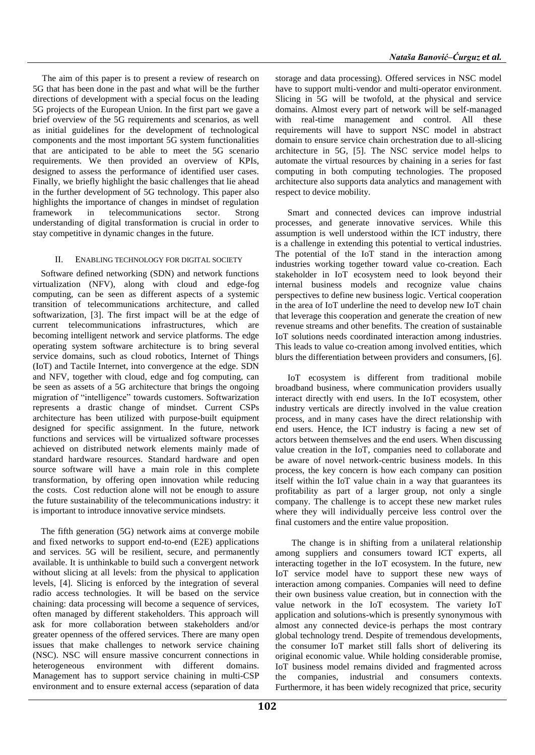The aim of this paper is to present a review of research on 5G that has been done in the past and what will be the further directions of development with a special focus on the leading 5G projects of the European Union. In the first part we gave a brief overview of the 5G requirements and scenarios, as well as initial guidelines for the development of technological components and the most important 5G system functionalities that are anticipated to be able to meet the 5G scenario requirements. We then provided an overview of KPIs, designed to assess the performance of identified user cases. Finally, we briefly highlight the basic challenges that lie ahead in the further development of 5G technology. This paper also highlights the importance of changes in mindset of regulation framework in telecommunications sector. Strong understanding of digital transformation is crucial in order to stay competitive in dynamic changes in the future.

## II. ENABLING TECHNOLOGY FOR DIGITAL SOCIETY

Software defined networking (SDN) and network functions virtualization (NFV), along with cloud and edge-fog computing, can be seen as different aspects of a systemic transition of telecommunications architecture, and called softwarization, [3]. The first impact will be at the edge of current telecommunications infrastructures, which are becoming intelligent network and service platforms. The edge operating system software architecture is to bring several service domains, such as cloud robotics, Internet of Things (IoT) and Tactile Internet, into convergence at the edge. SDN and NFV, together with cloud, edge and fog computing, can be seen as assets of a 5G architecture that brings the ongoing migration of "intelligence" towards customers. Softwarization represents a drastic change of mindset. Current CSPs architecture has been utilized with purpose-built equipment designed for specific assignment. In the future, network functions and services will be virtualized software processes achieved on distributed network elements mainly made of standard hardware resources. Standard hardware and open source software will have a main role in this complete transformation, by offering open innovation while reducing the costs. Cost reduction alone will not be enough to assure the future sustainability of the telecommunications industry: it is important to introduce innovative service mindsets.

The fifth generation (5G) network aims at converge mobile and fixed networks to support end-to-end (E2E) applications and services. 5G will be resilient, secure, and permanently available. It is unthinkable to build such a convergent network without slicing at all levels: from the physical to application levels, [4]. Slicing is enforced by the integration of several radio access technologies. It will be based on the service chaining: data processing will become a sequence of services, often managed by different stakeholders. This approach will ask for more collaboration between stakeholders and/or greater openness of the offered services. There are many open issues that make challenges to network service chaining (NSC). NSC will ensure massive concurrent connections in heterogeneous environment with different domains. heterogeneous environment with different domains. Management has to support service chaining in multi-CSP environment and to ensure external access (separation of data

storage and data processing). Offered services in NSC model have to support multi-vendor and multi-operator environment. Slicing in 5G will be twofold, at the physical and service domains. Almost every part of network will be self-managed with real-time management and control. All these requirements will have to support NSC model in abstract domain to ensure service chain orchestration due to all-slicing architecture in 5G, [5]. The NSC service model helps to automate the virtual resources by chaining in a series for fast computing in both computing technologies. The proposed architecture also supports data analytics and management with respect to device mobility.

Smart and connected devices can improve industrial processes, and generate innovative services. While this assumption is well understood within the ICT industry, there is a challenge in extending this potential to vertical industries. The potential of the IoT stand in the interaction among industries working together toward value co-creation. Each stakeholder in IoT ecosystem need to look beyond their internal business models and recognize value chains perspectives to define new business logic. Vertical cooperation in the area of IoT underline the need to develop new IoT chain that leverage this cooperation and generate the creation of new revenue streams and other benefits. The creation of sustainable IoT solutions needs coordinated interaction among industries. This leads to value co-creation among involved entities, which blurs the differentiation between providers and consumers, [6].

IoT ecosystem is different from traditional mobile broadband business, where communication providers usually interact directly with end users. In the IoT ecosystem, other industry verticals are directly involved in the value creation process, and in many cases have the direct relationship with end users. Hence, the ICT industry is facing a new set of actors between themselves and the end users. When discussing value creation in the IoT, companies need to collaborate and be aware of novel network-centric business models. In this process, the key concern is how each company can position itself within the IoT value chain in a way that guarantees its profitability as part of a larger group, not only a single company. The challenge is to accept these new market rules where they will individually perceive less control over the final customers and the entire value proposition.

The change is in shifting from a unilateral relationship among suppliers and consumers toward ICT experts, all interacting together in the IoT ecosystem. In the future, new IoT service model have to support these new ways of interaction among companies. Companies will need to define their own business value creation, but in connection with the value network in the IoT ecosystem. The variety IoT application and solutions-which is presently synonymous with almost any connected device-is perhaps the most contrary global technology trend. Despite of tremendous developments, the consumer IoT market still falls short of delivering its original economic value. While holding considerable promise, IoT business model remains divided and fragmented across the companies, industrial and consumers contexts. Furthermore, it has been widely recognized that price, security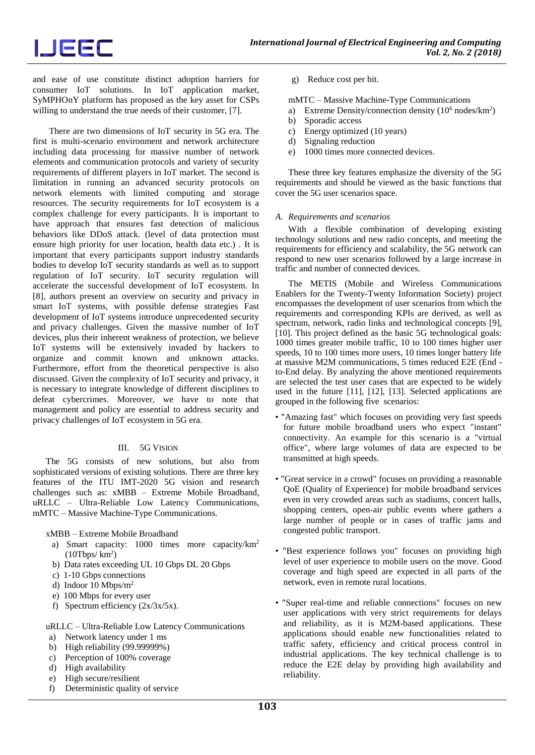# IJEEC

and ease of use constitute distinct adoption barriers for consumer IoT solutions. In IoT application market, SyMPHOnY platform has proposed as the key asset for CSPs willing to understand the true needs of their customer, [7].

There are two dimensions of IoT security in 5G era. The first is multi-scenario environment and network architecture including data processing for massive number of network elements and communication protocols and variety of security requirements of different players in IoT market. The second is limitation in running an advanced security protocols on network elements with limited computing and storage resources. The security requirements for IoT ecosystem is a complex challenge for every participants. It is important to have approach that ensures fast detection of malicious behaviors like DDoS attack. (level of data protection must ensure high priority for user location, health data etc.) . It is important that every participants support industry standards bodies to develop IoT security standards as well as to support regulation of IoT security. IoT security regulation will accelerate the successful development of IoT ecosystem. In [8], authors present an overview on security and privacy in smart IoT systems, with possible defense strategies Fast development of IoT systems introduce unprecedented security and privacy challenges. Given the massive number of IoT devices, plus their inherent weakness of protection, we believe IoT systems will be extensively invaded by hackers to organize and commit known and unknown attacks. Furthermore, effort from the theoretical perspective is also discussed. Given the complexity of IoT security and privacy, it is necessary to integrate knowledge of different disciplines to defeat cybercrimes. Moreover, we have to note that management and policy are essential to address security and privacy challenges of IoT ecosystem in 5G era.

## III. 5G VISION

The 5G consists of new solutions, but also from sophisticated versions of existing solutions. There are three key features of the ITU IMT-2020 5G vision and research challenges such as: xMBB – Extreme Mobile Broadband, uRLLC – Ultra-Reliable Low Latency Communications, mMTC – Massive Machine-Type Communications.

xMBB – Extreme Mobile Broadband

- a) Smart capacity: 1000 times more capacity/km<sup>2</sup>  $(10Tbps/km<sup>2</sup>)$
- b) Data rates exceeding UL 10 Gbps DL 20 Gbps
- c) 1-10 Gbps connections
- d) Indoor 10 Mbps/m<sup>2</sup>
- e) 100 Mbps for every user
- f) Spectrum efficiency  $(2x/3x/5x)$ .

uRLLC – Ultra-Reliable Low Latency Communications

- a) Network latency under 1 ms
- b) High reliability (99.99999%)
- c) Perception of 100% coverage
- d) High availability
- e) High secure/resilient
- f) Deterministic quality of service

g) Reduce cost per bit.

mMTC – Massive Machine-Type Communications

- a) Extreme Density/connection density (10<sup>6</sup> nodes/km<sup>2</sup>)
- b) Sporadic access
- c) Energy optimized (10 years)
- d) Signaling reduction
- e) 1000 times more connected devices.

These three key features emphasize the diversity of the 5G requirements and should be viewed as the basic functions that cover the 5G user scenarios space.

### *A. Requirements and scenarios*

With a flexible combination of developing existing technology solutions and new radio concepts, and meeting the requirements for efficiency and scalability, the 5G network can respond to new user scenarios followed by a large increase in traffic and number of connected devices.

The METIS (Mobile and Wireless Communications Enablers for the Twenty-Twenty Information Society) project encompasses the development of user scenarios from which the requirements and corresponding KPIs are derived, as well as spectrum, network, radio links and technological concepts [9], [10]. This project defined as the basic 5G technological goals: 1000 times greater mobile traffic, 10 to 100 times higher user speeds, 10 to 100 times more users, 10 times longer battery life at massive M2M communications, 5 times reduced E2E (End to-End delay. By analyzing the above mentioned requirements are selected the test user cases that are expected to be widely used in the future [11], [12], [13]. Selected applications are grouped in the following five scenarios:

- "Amazing fast" which focuses on providing very fast speeds for future mobile broadband users who expect "instant" connectivity. An example for this scenario is a "virtual office", where large volumes of data are expected to be transmitted at high speeds.
- "Great service in a crowd" focuses on providing a reasonable QoE (Quality of Experience) for mobile broadband services even in very crowded areas such as stadiums, concert halls, shopping centers, open-air public events where gathers a large number of people or in cases of traffic jams and congested public transport.
- "Best experience follows you" focuses on providing high level of user experience to mobile users on the move. Good coverage and high speed are expected in all parts of the network, even in remote rural locations.
- "Super real-time and reliable connections" focuses on new user applications with very strict requirements for delays and reliability, as it is M2M-based applications. These applications should enable new functionalities related to traffic safety, efficiency and critical process control in industrial applications. The key technical challenge is to reduce the E2E delay by providing high availability and reliability.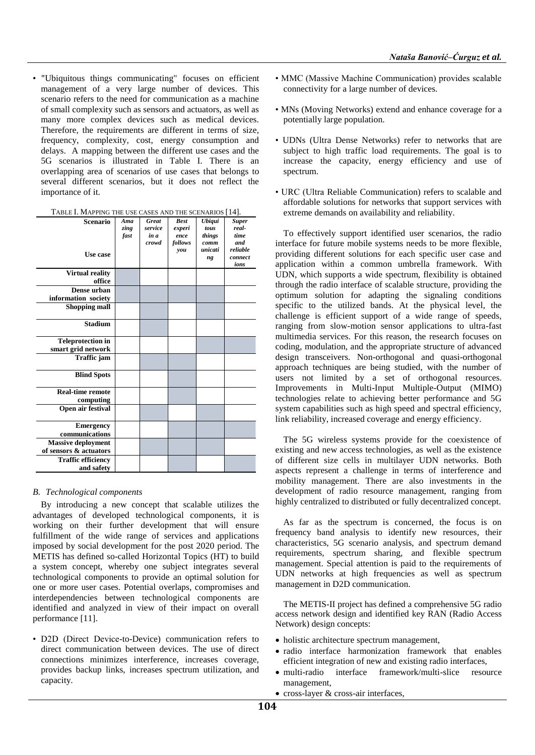• "Ubiquitous things communicating" focuses on efficient management of a very large number of devices. This scenario refers to the need for communication as a machine of small complexity such as sensors and actuators, as well as many more complex devices such as medical devices. Therefore, the requirements are different in terms of size, frequency, complexity, cost, energy consumption and delays. A mapping between the different use cases and the 5G scenarios is illustrated in Table I. There is an overlapping area of scenarios of use cases that belongs to several different scenarios, but it does not reflect the importance of it.

| <b>Scenario</b><br>Use case                         | Ama<br>zing<br>fast | <b>Great</b><br>service<br>in a<br>crowd | <b>Best</b><br>experi<br>ence<br>follows<br>you | <b>Ubiqui</b><br>tous<br>things<br>comm<br>unicati<br>ng | <b>Super</b><br>real-<br>time<br>and<br>reliable<br>connect<br>ions |
|-----------------------------------------------------|---------------------|------------------------------------------|-------------------------------------------------|----------------------------------------------------------|---------------------------------------------------------------------|
| <b>Virtual reality</b><br>office                    |                     |                                          |                                                 |                                                          |                                                                     |
| Dense urban<br>information society                  |                     |                                          |                                                 |                                                          |                                                                     |
| <b>Shopping mall</b>                                |                     |                                          |                                                 |                                                          |                                                                     |
| <b>Stadium</b>                                      |                     |                                          |                                                 |                                                          |                                                                     |
| <b>Teleprotection in</b><br>smart grid network      |                     |                                          |                                                 |                                                          |                                                                     |
| Traffic jam                                         |                     |                                          |                                                 |                                                          |                                                                     |
| <b>Blind Spots</b>                                  |                     |                                          |                                                 |                                                          |                                                                     |
| <b>Real-time remote</b><br>computing                |                     |                                          |                                                 |                                                          |                                                                     |
| Open air festival                                   |                     |                                          |                                                 |                                                          |                                                                     |
| <b>Emergency</b><br>communications                  |                     |                                          |                                                 |                                                          |                                                                     |
| <b>Massive deployment</b><br>of sensors & actuators |                     |                                          |                                                 |                                                          |                                                                     |
| <b>Traffic efficiency</b><br>and safety             |                     |                                          |                                                 |                                                          |                                                                     |

| TABLE I. MAPPING THE USE CASES AND THE SCENARIOS [14]. |  |
|--------------------------------------------------------|--|
|--------------------------------------------------------|--|

## *B. Technological components*

By introducing a new concept that scalable utilizes the advantages of developed technological components, it is working on their further development that will ensure fulfillment of the wide range of services and applications imposed by social development for the post 2020 period. The METIS has defined so-called Horizontal Topics (HT) to build a system concept, whereby one subject integrates several technological components to provide an optimal solution for one or more user cases. Potential overlaps, compromises and interdependencies between technological components are identified and analyzed in view of their impact on overall performance [11].

• D2D (Direct Device-to-Device) communication refers to direct communication between devices. The use of direct connections minimizes interference, increases coverage, provides backup links, increases spectrum utilization, and capacity.

- MMC (Massive Machine Communication) provides scalable connectivity for a large number of devices.
- MNs (Moving Networks) extend and enhance coverage for a potentially large population.
- UDNs (Ultra Dense Networks) refer to networks that are subject to high traffic load requirements. The goal is to increase the capacity, energy efficiency and use of spectrum.
- URC (Ultra Reliable Communication) refers to scalable and affordable solutions for networks that support services with extreme demands on availability and reliability.

To effectively support identified user scenarios, the radio interface for future mobile systems needs to be more flexible, providing different solutions for each specific user case and application within a common umbrella framework. With UDN, which supports a wide spectrum, flexibility is obtained through the radio interface of scalable structure, providing the optimum solution for adapting the signaling conditions specific to the utilized bands. At the physical level, the challenge is efficient support of a wide range of speeds, ranging from slow-motion sensor applications to ultra-fast multimedia services. For this reason, the research focuses on coding, modulation, and the appropriate structure of advanced design transceivers. Non-orthogonal and quasi-orthogonal approach techniques are being studied, with the number of users not limited by a set of orthogonal resources. Improvements in Multi-Input Multiple-Output (MIMO) technologies relate to achieving better performance and 5G system capabilities such as high speed and spectral efficiency, link reliability, increased coverage and energy efficiency.

The 5G wireless systems provide for the coexistence of existing and new access technologies, as well as the existence of different size cells in multilayer UDN networks. Both aspects represent a challenge in terms of interference and mobility management. There are also investments in the development of radio resource management, ranging from highly centralized to distributed or fully decentralized concept.

As far as the spectrum is concerned, the focus is on frequency band analysis to identify new resources, their characteristics, 5G scenario analysis, and spectrum demand requirements, spectrum sharing, and flexible spectrum management. Special attention is paid to the requirements of UDN networks at high frequencies as well as spectrum management in D2D communication.

The METIS-II project has defined a comprehensive 5G radio access network design and identified key RAN (Radio Access Network) design concepts:

- holistic architecture spectrum management,
- radio interface harmonization framework that enables efficient integration of new and existing radio interfaces,
- multi-radio interface framework/multi-slice resource management,
- cross-layer & cross-air interfaces,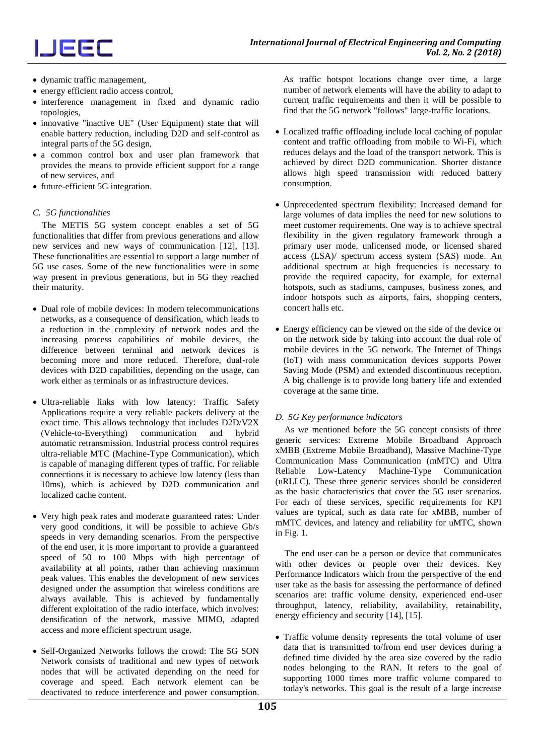## IJEEC

- dynamic traffic management,
- energy efficient radio access control,
- interference management in fixed and dynamic radio topologies,
- innovative "inactive UE" (User Equipment) state that will enable battery reduction, including D2D and self-control as integral parts of the 5G design,
- a common control box and user plan framework that provides the means to provide efficient support for a range of new services, and
- future-efficient 5G integration.

## *C. 5G functionalities*

The METIS 5G system concept enables a set of 5G functionalities that differ from previous generations and allow new services and new ways of communication [12], [13]. These functionalities are essential to support a large number of 5G use cases. Some of the new functionalities were in some way present in previous generations, but in 5G they reached their maturity.

- Dual role of mobile devices: In modern telecommunications networks, as a consequence of densification, which leads to a reduction in the complexity of network nodes and the increasing process capabilities of mobile devices, the difference between terminal and network devices is becoming more and more reduced. Therefore, dual-role devices with D2D capabilities, depending on the usage, can work either as terminals or as infrastructure devices.
- Ultra-reliable links with low latency: Traffic Safety Applications require a very reliable packets delivery at the exact time. This allows technology that includes D2D/V2X (Vehicle-to-Everything) communication and hybrid automatic retransmission. Industrial process control requires ultra-reliable MTC (Machine-Type Communication), which is capable of managing different types of traffic. For reliable connections it is necessary to achieve low latency (less than 10ms), which is achieved by D2D communication and localized cache content.
- Very high peak rates and moderate guaranteed rates: Under very good conditions, it will be possible to achieve Gb/s speeds in very demanding scenarios. From the perspective of the end user, it is more important to provide a guaranteed speed of 50 to 100 Mbps with high percentage of availability at all points, rather than achieving maximum peak values. This enables the development of new services designed under the assumption that wireless conditions are always available. This is achieved by fundamentally different exploitation of the radio interface, which involves: densification of the network, massive MIMO, adapted access and more efficient spectrum usage.
- Self-Organized Networks follows the crowd: The 5G SON Network consists of traditional and new types of network nodes that will be activated depending on the need for coverage and speed. Each network element can be deactivated to reduce interference and power consumption.

As traffic hotspot locations change over time, a large number of network elements will have the ability to adapt to current traffic requirements and then it will be possible to find that the 5G network "follows" large-traffic locations.

- Localized traffic offloading include local caching of popular content and traffic offloading from mobile to Wi-Fi, which reduces delays and the load of the transport network. This is achieved by direct D2D communication. Shorter distance allows high speed transmission with reduced battery consumption.
- Unprecedented spectrum flexibility: Increased demand for large volumes of data implies the need for new solutions to meet customer requirements. One way is to achieve spectral flexibility in the given regulatory framework through a primary user mode, unlicensed mode, or licensed shared access (LSA)/ spectrum access system (SAS) mode. An additional spectrum at high frequencies is necessary to provide the required capacity, for example, for external hotspots, such as stadiums, campuses, business zones, and indoor hotspots such as airports, fairs, shopping centers, concert halls etc.
- Energy efficiency can be viewed on the side of the device or on the network side by taking into account the dual role of mobile devices in the 5G network. The Internet of Things (IoT) with mass communication devices supports Power Saving Mode (PSM) and extended discontinuous reception. A big challenge is to provide long battery life and extended coverage at the same time.

## *D. 5G Key performance indicators*

As we mentioned before the 5G concept consists of three generic services: Extreme Mobile Broadband Approach xMBB (Extreme Mobile Broadband), Massive Machine-Type Communication Mass Communication (mMTC) and Ultra Reliable Low-Latency Machine-Type Communication (uRLLC). These three generic services should be considered as the basic characteristics that cover the 5G user scenarios. For each of these services, specific requirements for KPI values are typical, such as data rate for xMBB, number of mMTC devices, and latency and reliability for uMTC, shown in Fig. 1.

The end user can be a person or device that communicates with other devices or people over their devices. Key Performance Indicators which from the perspective of the end user take as the basis for assessing the performance of defined scenarios are: traffic volume density, experienced end-user throughput, latency, reliability, availability, retainability, energy efficiency and security [14], [15].

• Traffic volume density represents the total volume of user data that is transmitted to/from end user devices during a defined time divided by the area size covered by the radio nodes belonging to the RAN. It refers to the goal of supporting 1000 times more traffic volume compared to today's networks. This goal is the result of a large increase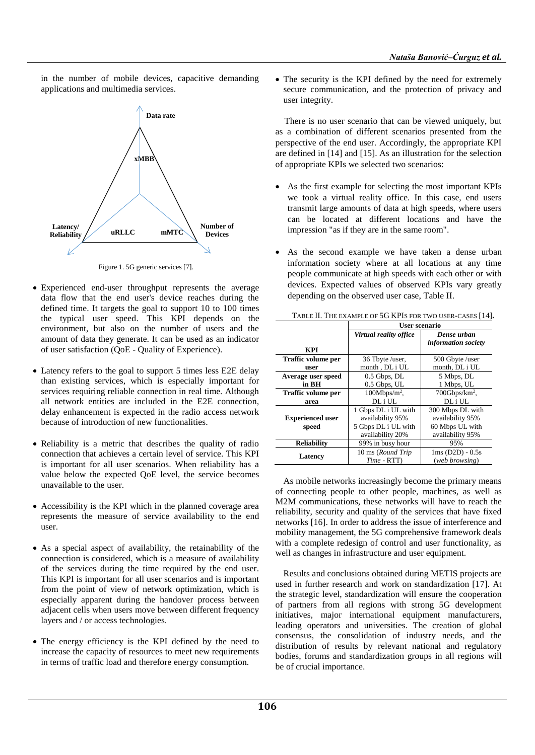in the number of mobile devices, capacitive demanding applications and multimedia services.

**xMBB uRLLC mMTC Number of Devices Data rate Latency/ Reliability**

Figure 1. 5G generic services [7].

- Experienced end-user throughput represents the average data flow that the end user's device reaches during the defined time. It targets the goal to support 10 to 100 times the typical user speed. This KPI depends on the environment, but also on the number of users and the amount of data they generate. It can be used as an indicator of user satisfaction (QoE - Quality of Experience).
- Latency refers to the goal to support 5 times less E2E delay than existing services, which is especially important for services requiring reliable connection in real time. Although all network entities are included in the E2E connection, delay enhancement is expected in the radio access network because of introduction of new functionalities.
- Reliability is a metric that describes the quality of radio connection that achieves a certain level of service. This KPI is important for all user scenarios. When reliability has a value below the expected QoE level, the service becomes unavailable to the user.
- Accessibility is the KPI which in the planned coverage area represents the measure of service availability to the end user.
- As a special aspect of availability, the retainability of the connection is considered, which is a measure of availability of the services during the time required by the end user. This KPI is important for all user scenarios and is important from the point of view of network optimization, which is especially apparent during the handover process between adjacent cells when users move between different frequency layers and / or access technologies.
- The energy efficiency is the KPI defined by the need to increase the capacity of resources to meet new requirements in terms of traffic load and therefore energy consumption.

• The security is the KPI defined by the need for extremely secure communication, and the protection of privacy and user integrity.

There is no user scenario that can be viewed uniquely, but as a combination of different scenarios presented from the perspective of the end user. Accordingly, the appropriate KPI are defined in [14] and [15]. As an illustration for the selection of appropriate KPIs we selected two scenarios:

- As the first example for selecting the most important KPIs we took a virtual reality office. In this case, end users transmit large amounts of data at high speeds, where users can be located at different locations and have the impression "as if they are in the same room".
- As the second example we have taken a dense urban information society where at all locations at any time people communicate at high speeds with each other or with devices. Expected values of observed KPIs vary greatly depending on the observed user case, Table II.

|                         | User scenario                     |                                           |  |
|-------------------------|-----------------------------------|-------------------------------------------|--|
|                         | Virtual reality office            | Dense urban<br><i>information society</i> |  |
| KPI                     |                                   |                                           |  |
| Traffic volume per      | 36 Tbyte /user.                   | 500 Gbyte /user                           |  |
| user                    | month, DL i UL                    | month, DL i UL                            |  |
| Average user speed      | $0.5$ Gbps, $DL$                  | 5 Mbps, DL                                |  |
| in BH                   | 0.5 Gbps, UL                      | 1 Mbps, UL                                |  |
| Traffic volume per      | $100Mbps/m2$ ,                    | $700Gbps/km2$ ,                           |  |
| area                    | DL <sub>i</sub> UL                | DL i UL                                   |  |
|                         | 1 Gbps DL i UL with               | 300 Mbps DL with                          |  |
| <b>Experienced user</b> | availability 95%                  | availability 95%                          |  |
| speed                   | 5 Gbps DL i UL with               | 60 Mbps UL with                           |  |
|                         | availability 20%                  | availability 95%                          |  |
| <b>Reliability</b>      | 99% in busy hour                  | 95%                                       |  |
| Latency                 | 10 ms (Round Trip<br>$Time - RTT$ | $1ms(D2D) - 0.5s$<br>(web browsing)       |  |

TABLE II. THE EXAMPLE OF 5G KPIS FOR TWO USER-CASES [14]**.**

As mobile networks increasingly become the primary means of connecting people to other people, machines, as well as M2M communications, these networks will have to reach the reliability, security and quality of the services that have fixed networks [16]. In order to address the issue of interference and mobility management, the 5G comprehensive framework deals with a complete redesign of control and user functionality, as well as changes in infrastructure and user equipment.

Results and conclusions obtained during METIS projects are used in further research and work on standardization [17]. At the strategic level, standardization will ensure the cooperation of partners from all regions with strong 5G development initiatives, major international equipment manufacturers, leading operators and universities. The creation of global consensus, the consolidation of industry needs, and the distribution of results by relevant national and regulatory bodies, forums and standardization groups in all regions will be of crucial importance.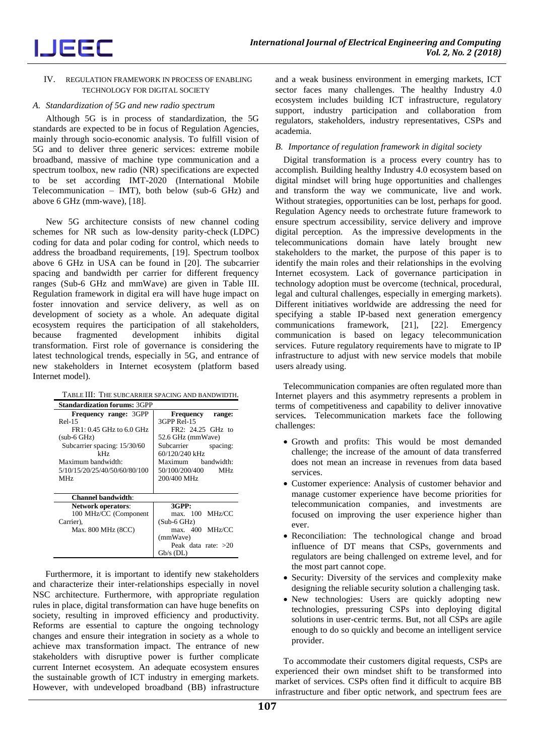

#### IV. REGULATION FRAMEWORK IN PROCESS OF ENABLING TECHNOLOGY FOR DIGITAL SOCIETY

#### *A. Standardization of 5G and new radio spectrum*

Although 5G is in process of standardization, the 5G standards are expected to be in focus of Regulation Agencies, mainly through socio-economic analysis. To fulfill vision of 5G and to deliver three generic services: extreme mobile broadband, massive of machine type communication and a spectrum toolbox, new radio (NR) specifications are expected to be set according IMT-2020 (International Mobile Telecommunication – IMT), both below (sub-6 GHz) and above 6 GHz (mm-wave), [18].

New 5G architecture consists of new channel coding schemes for NR such as low-density parity-check (LDPC) coding for data and polar coding for control, which needs to address the broadband requirements, [19]. Spectrum toolbox above 6 GHz in USA can be found in [20]. The subcarrier spacing and bandwidth per carrier for different frequency ranges (Sub-6 GHz and mmWave) are given in Table III. Regulation framework in digital era will have huge impact on foster innovation and service delivery, as well as on development of society as a whole. An adequate digital ecosystem requires the participation of all stakeholders, because fragmented development inhibits digital transformation. First role of governance is considering the latest technological trends, especially in 5G, and entrance of new stakeholders in Internet ecosystem (platform based Internet model).

| TABLE III: THE SUBCARRIER SPACING AND BANDWIDTH. |  |
|--------------------------------------------------|--|
|                                                  |  |

| <b>Standardization forums: 3GPP</b> |                        |
|-------------------------------------|------------------------|
| Frequency range: 3GPP               | Frequency<br>range:    |
| $Rel-15$                            | 3GPP Rel-15            |
| $FR1: 0.45$ GHz to 6.0 GHz          | FR2: 24.25 GHz to      |
| $(sub-6 GHz)$                       | 52.6 GHz (mmWave)      |
| Subcarrier spacing: 15/30/60        | Subcarrier<br>spacing: |
| kHz                                 | 60/120/240 kHz         |
| Maximum bandwidth:                  | Maximum bandwidth:     |
| 5/10/15/20/25/40/50/60/80/100       | 50/100/200/400<br>MHz  |
| MHz                                 | 200/400 MHz            |
|                                     |                        |
| <b>Channel bandwidth:</b>           |                        |
| <b>Network operators:</b>           | 3GPP:                  |
| 100 MHz/CC (Component               | max. 100 MHz/CC        |
| Carrier).                           | $(Sub-6 GHz)$          |
| Max. 800 MHz (8CC)                  | max. 400 MHz/CC        |
|                                     | (mmWave)               |
|                                     | Peak data rate: $>20$  |
|                                     | $Gb/s$ (DL)            |

Furthermore, it is important to identify new stakeholders and characterize their inter-relationships especially in novel NSC architecture. Furthermore, with appropriate regulation rules in place, digital transformation can have huge benefits on society, resulting in improved efficiency and productivity. Reforms are essential to capture the ongoing technology changes and ensure their integration in society as a whole to achieve max transformation impact. The entrance of new stakeholders with disruptive power is further complicate current Internet ecosystem. An adequate ecosystem ensures the sustainable growth of ICT industry in emerging markets. However, with undeveloped broadband (BB) infrastructure

and a weak business environment in emerging markets, ICT sector faces many challenges. The healthy Industry 4.0 ecosystem includes building ICT infrastructure, regulatory support, industry participation and collaboration from regulators, stakeholders, industry representatives, CSPs and academia.

### *B. Importance of regulation framework in digital society*

Digital transformation is a process every country has to accomplish. Building healthy Industry 4.0 ecosystem based on digital mindset will bring huge opportunities and challenges and transform the way we communicate, live and work. Without strategies, opportunities can be lost, perhaps for good. Regulation Agency needs to orchestrate future framework to ensure spectrum accessibility, service delivery and improve digital perception. As the impressive developments in the telecommunications domain have lately brought new stakeholders to the market, the purpose of this paper is to identify the main roles and their relationships in the evolving Internet ecosystem. Lack of governance participation in technology adoption must be overcome (technical, procedural, legal and cultural challenges, especially in emerging markets). Different initiatives worldwide are addressing the need for specifying a stable IP-based next generation emergency communications framework, [21], [22]. Emergency communication is based on legacy telecommunication services. Future regulatory requirements have to migrate to IP infrastructure to adjust with new service models that mobile users already using.

Telecommunication companies are often regulated more than Internet players and this asymmetry represents a problem in terms of competitiveness and capability to deliver innovative services**.** Telecommunication markets face the following challenges:

- Growth and profits: This would be most demanded challenge; the increase of the amount of data transferred does not mean an increase in revenues from data based services.
- Customer experience: Analysis of customer behavior and manage customer experience have become priorities for telecommunication companies, and investments are focused on improving the user experience higher than ever.
- Reconciliation: The technological change and broad influence of DT means that CSPs, governments and regulators are being challenged on extreme level, and for the most part cannot cope.
- Security: Diversity of the services and complexity make designing the reliable security solution a challenging task.
- New technologies: Users are quickly adopting new technologies, pressuring CSPs into deploying digital solutions in user-centric terms. But, not all CSPs are agile enough to do so quickly and become an intelligent service provider.

To accommodate their customers digital requests, CSPs are experienced their own mindset shift to be transformed into market of services. CSPs often find it difficult to acquire BB infrastructure and fiber optic network, and spectrum fees are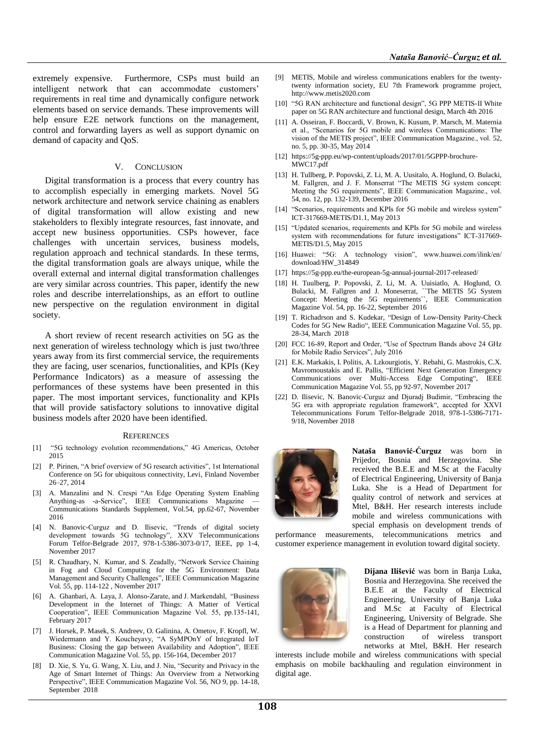extremely expensive. Furthermore, CSPs must build an intelligent network that can accommodate customers' requirements in real time and dynamically configure network elements based on service demands. These improvements will help ensure E2E network functions on the management, control and forwarding layers as well as support dynamic on demand of capacity and QoS.

#### V. CONCLUSION

Digital transformation is a process that every country has to accomplish especially in emerging markets. Novel 5G network architecture and network service chaining as enablers of digital transformation will allow existing and new stakeholders to flexibly integrate resources, fast innovate, and accept new business opportunities. CSPs however, face challenges with uncertain services, business models, regulation approach and technical standards. In these terms, the digital transformation goals are always unique, while the overall external and internal digital transformation challenges are very similar across countries. This paper, identify the new roles and describe interrelationships, as an effort to outline new perspective on the regulation environment in digital society.

A short review of recent research activities on 5G as the next generation of wireless technology which is just two/three years away from its first commercial service, the requirements they are facing, user scenarios, functionalities, and KPIs (Key Performance Indicators) as a measure of assessing the performances of these systems have been presented in this paper. The most important services, functionality and KPIs that will provide satisfactory solutions to innovative digital business models after 2020 have been identified.

#### **REFERENCES**

- [1] "5G technology evolution recommendations," 4G Americas, October 2015
- [2] P. Pirinen, "A brief overview of 5G research activities", 1st International Conference on 5G for ubiquitous connectivity, Levi, Finland November 26–27, 2014
- [3] A. Manzalini and N. Crespi "An Edge Operating System Enabling Anything-as -a-Service", IEEE Communications Magazine Communications Standards Supplement, Vol.54, pp.62-67, November 2016
- [4] N. Banovic-Curguz and D. Ilisevic, "Trends of digital society development towards 5G technology", XXV Telecommunications Forum Telfor-Belgrade 2017, 978-1-5386-3073-0/17, IEEE, pp 1-4, November 2017
- [5] R. Chaudhary, N. Kumar, and S. Zeadally, "Network Service Chaining in Fog and Cloud Computing for the 5G Environment: Data Management and Security Challenges", IEEE Communication Magazine Vol. 55, pp. 114-122 , November 2017
- [6] A. Ghanbari, A. Laya, J. Alonso-Zarate, and J. Markendahl, "Business Development in the Internet of Things: A Matter of Vertical Cooperation", IEEE Communication Magazine Vol. 55, pp.135-141, February 2017
- [7] J. Horsek, P. Masek, S. Andreev, O. Galinina, A. Ometov, F. Kropfl, W. Wiedermann and Y. Koucheyavy, "A SyMPOnY of Integrated IoT Business: Closing the gap between Availability and Adoption", IEEE Communication Magazine Vol. 55, pp. 156-164, December 2017
- [8] D. Xie, S. Yu, G. Wang, X. Liu, and J. Niu, "Security and Privacy in the Age of Smart Internet of Things: An Overview from a Networking Perspective", IEEE Communication Magazine Vol. 56, NO 9, pp. 14-18, September 2018
- [9] METIS, Mobile and wireless communications enablers for the twentytwenty information society, EU 7th Framework programme project, [http://www.metis2020.com](http://www.metis2020.com/)
- [10] "5G RAN architecture and functional design", 5G PPP METIS-II White paper on 5G RAN architecture and functional design, March 4th 2016
- [11] A. Osseiran, F. Boccardi, V. Brown, K. Kusum, P. Marsch, M. Maternia et al., "Scenarios for 5G mobile and wireless Communications: The vision of the METIS project", IEEE Communication Magazine., vol. 52, no. 5, pp. 30-35, May 2014
- [12] [https://5g-ppp.eu/wp-content/uploads/2017/01/5GPPP-brochure-](https://5g-ppp.eu/wp-content/uploads/2017/01/5GPPP-brochure-MWC17.pdf)[MWC17.pdf](https://5g-ppp.eu/wp-content/uploads/2017/01/5GPPP-brochure-MWC17.pdf)
- [13] H. Tullberg, P. Popovski, Z. Li, M. A. Uusitalo, A. Hoglund, O. Bulacki, M. Fallgren, and J. F. Monserrat "The METIS 5G system concept: Meeting the 5G requirements", IEEE Communication Magazine., vol. 54, no. 12, pp. 132-139, December 2016
- [14] "Scenarios, requirements and KPIs for 5G mobile and wireless system" ICT-317669-METIS/D1.1, May 2013
- [15] "Updated scenarios, requirements and KPIs for 5G mobile and wireless system with recommendations for future investigations" ICT-317669- METIS/D1.5, May 2015
- [16] Huawei: "5G: A technology vision", www.huawei.com/ilink/en/ download/HW\_314849
- [17] https://5g-ppp.eu/the-european-5g-annual-journal-2017-released/
- [18] H. Tuulberg, P. Popovski, Z. Li, M. A. Uuisiatlo, A. Hoglund, O. Bulacki, M. Fallgren and J. Moneserrat, ``The METIS 5G System Concept: Meeting the 5G requirements``, IEEE Communication Magazine Vol. 54, pp. 16-22, September 2016
- [19] T. Richadrson and S. Kudekar, "Design of Low-Density Parity-Check Codes for 5G New Radio", IEEE Communication Magazine Vol. 55, pp. 28-34, March 2018
- [20] FCC 16-89, Report and Order, "Use of Spectrum Bands above 24 GHz for Mobile Radio Services", July 2016
- [21] E.K. Markakis, I. Politis, A. Lzkourgiotis, Y. Rebahi, G. Mastrokis, C.X. Mavromoustakis and E. Pallis, "Efficient Next Generation Emergency Communications over Multi-Access Edge Computing", IEEE Communication Magazine Vol. 55, pp 92-97, November 2017
- [22] D. Ilisevic, N. Banovic-Curguz and Djuradj Budimir, "Embracing the 5G era with appropriate regulation framework", accepted for XXVI Telecommunications Forum Telfor-Belgrade 2018, 978-1-5386-7171- 9/18, November 2018



**Nataša Banović-Ćurguz** was born in Prijedor, Bosnia and Herzegovina. She received the B.E.E and M.Sc at the Faculty of Electrical Engineering, University of Banja Luka. She is a Head of Department for quality control of network and services at Mtel, B&H. Her research interests include mobile and wireless communications with special emphasis on development trends of

performance measurements, telecommunications metrics and customer experience management in evolution toward digital society.



**Dijana Ilišević** was born in Banja Luka, Bosnia and Herzegovina. She received the B.E.E at the Faculty of Electrical Engineering, University of Banja Luka and M.Sc at Faculty of Electrical Engineering, University of Belgrade. She is a Head of Department for planning and construction of wireless transport networks at Mtel, B&H. Her research

interests include mobile and wireless communications with special emphasis on mobile backhauling and regulation einvironment in digital age.